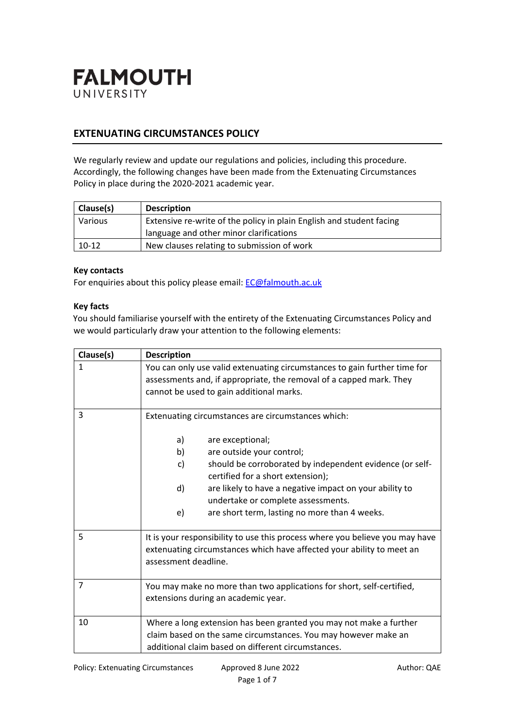

# **EXTENUATING CIRCUMSTANCES POLICY**

We regularly review and update our regulations and policies, including this procedure. Accordingly, the following changes have been made from the Extenuating Circumstances Policy in place during the 2020-2021 academic year.

| Clause(s) | <b>Description</b>                                                   |  |
|-----------|----------------------------------------------------------------------|--|
| Various   | Extensive re-write of the policy in plain English and student facing |  |
|           | language and other minor clarifications                              |  |
| $10-12$   | New clauses relating to submission of work                           |  |

### **Key contacts**

For enquiries about this policy please email: [EC@falmouth.ac.uk](mailto:EC@falmouth.ac.uk)

#### **Key facts**

You should familiarise yourself with the entirety of the Extenuating Circumstances Policy and we would particularly draw your attention to the following elements:

| Clause(s)      | <b>Description</b>                                                                                                                                                                                                                                                                                                                                                                   |  |  |  |
|----------------|--------------------------------------------------------------------------------------------------------------------------------------------------------------------------------------------------------------------------------------------------------------------------------------------------------------------------------------------------------------------------------------|--|--|--|
| 1              | You can only use valid extenuating circumstances to gain further time for<br>assessments and, if appropriate, the removal of a capped mark. They<br>cannot be used to gain additional marks.                                                                                                                                                                                         |  |  |  |
| 3              | Extenuating circumstances are circumstances which:<br>are exceptional;<br>a)<br>are outside your control;<br>b)<br>should be corroborated by independent evidence (or self-<br>c)<br>certified for a short extension);<br>d)<br>are likely to have a negative impact on your ability to<br>undertake or complete assessments.<br>are short term, lasting no more than 4 weeks.<br>e) |  |  |  |
| 5              | It is your responsibility to use this process where you believe you may have<br>extenuating circumstances which have affected your ability to meet an<br>assessment deadline.                                                                                                                                                                                                        |  |  |  |
| $\overline{7}$ | You may make no more than two applications for short, self-certified,<br>extensions during an academic year.                                                                                                                                                                                                                                                                         |  |  |  |
| 10             | Where a long extension has been granted you may not make a further<br>claim based on the same circumstances. You may however make an<br>additional claim based on different circumstances.                                                                                                                                                                                           |  |  |  |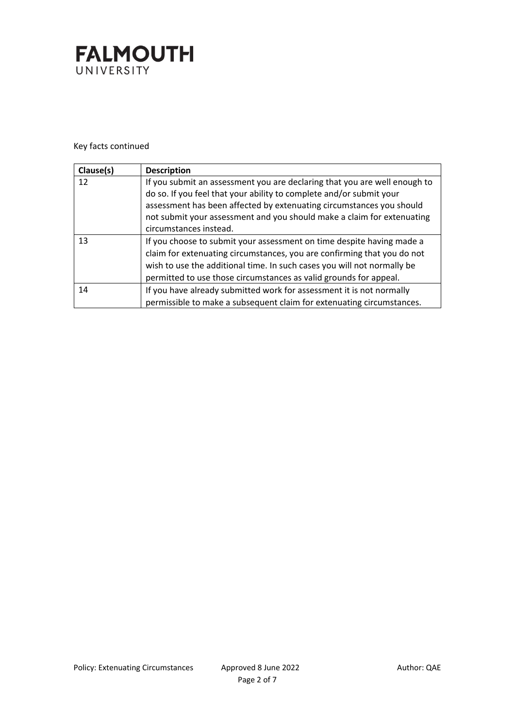

Key facts continued

| Clause(s) | <b>Description</b>                                                                                                                                                                                                                                                                                                           |
|-----------|------------------------------------------------------------------------------------------------------------------------------------------------------------------------------------------------------------------------------------------------------------------------------------------------------------------------------|
| 12        | If you submit an assessment you are declaring that you are well enough to<br>do so. If you feel that your ability to complete and/or submit your<br>assessment has been affected by extenuating circumstances you should<br>not submit your assessment and you should make a claim for extenuating<br>circumstances instead. |
| 13        | If you choose to submit your assessment on time despite having made a<br>claim for extenuating circumstances, you are confirming that you do not<br>wish to use the additional time. In such cases you will not normally be<br>permitted to use those circumstances as valid grounds for appeal.                             |
| 14        | If you have already submitted work for assessment it is not normally<br>permissible to make a subsequent claim for extenuating circumstances.                                                                                                                                                                                |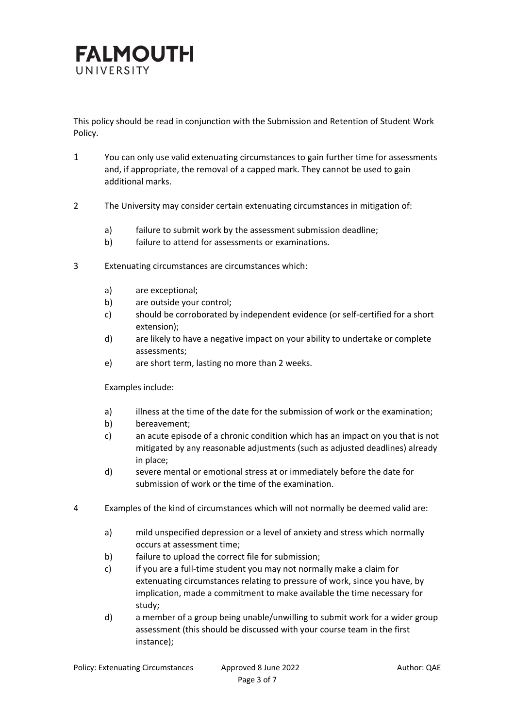

This policy should be read in conjunction with the Submission and Retention of Student Work Policy.

- 1 You can only use valid extenuating circumstances to gain further time for assessments and, if appropriate, the removal of a capped mark. They cannot be used to gain additional marks.
- 2 The University may consider certain extenuating circumstances in mitigation of:
	- a) failure to submit work by the assessment submission deadline;
	- b) failure to attend for assessments or examinations.
- 3 Extenuating circumstances are circumstances which:
	- a) are exceptional;
	- b) are outside your control;
	- c) should be corroborated by independent evidence (or self-certified for a short extension);
	- d) are likely to have a negative impact on your ability to undertake or complete assessments;
	- e) are short term, lasting no more than 2 weeks.

Examples include:

- a) illness at the time of the date for the submission of work or the examination;
- b) bereavement;
- c) an acute episode of a chronic condition which has an impact on you that is not mitigated by any reasonable adjustments (such as adjusted deadlines) already in place;
- d) severe mental or emotional stress at or immediately before the date for submission of work or the time of the examination.
- 4 Examples of the kind of circumstances which will not normally be deemed valid are:
	- a) mild unspecified depression or a level of anxiety and stress which normally occurs at assessment time;
	- b) failure to upload the correct file for submission;
	- c) if you are a full-time student you may not normally make a claim for extenuating circumstances relating to pressure of work, since you have, by implication, made a commitment to make available the time necessary for study;
	- d) a member of a group being unable/unwilling to submit work for a wider group assessment (this should be discussed with your course team in the first instance);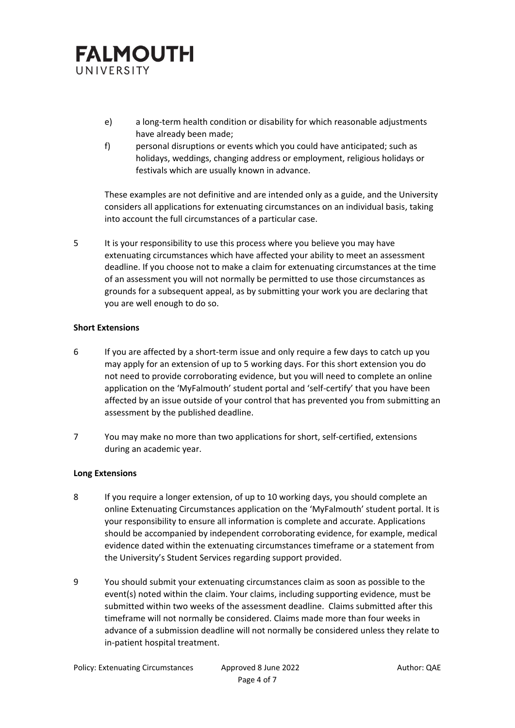

- e) a long-term health condition or disability for which reasonable adjustments have already been made;
- f) personal disruptions or events which you could have anticipated; such as holidays, weddings, changing address or employment, religious holidays or festivals which are usually known in advance.

These examples are not definitive and are intended only as a guide, and the University considers all applications for extenuating circumstances on an individual basis, taking into account the full circumstances of a particular case.

5 It is your responsibility to use this process where you believe you may have extenuating circumstances which have affected your ability to meet an assessment deadline. If you choose not to make a claim for extenuating circumstances at the time of an assessment you will not normally be permitted to use those circumstances as grounds for a subsequent appeal, as by submitting your work you are declaring that you are well enough to do so.

### **Short Extensions**

- 6 If you are affected by a short-term issue and only require a few days to catch up you may apply for an extension of up to 5 working days. For this short extension you do not need to provide corroborating evidence, but you will need to complete an online application on the 'MyFalmouth' student portal and 'self-certify' that you have been affected by an issue outside of your control that has prevented you from submitting an assessment by the published deadline.
- 7 You may make no more than two applications for short, self-certified, extensions during an academic year.

#### **Long Extensions**

- 8 If you require a longer extension, of up to 10 working days, you should complete an online Extenuating Circumstances application on the 'MyFalmouth' student portal. It is your responsibility to ensure all information is complete and accurate. Applications should be accompanied by independent corroborating evidence, for example, medical evidence dated within the extenuating circumstances timeframe or a statement from the University's Student Services regarding support provided.
- 9 You should submit your extenuating circumstances claim as soon as possible to the event(s) noted within the claim. Your claims, including supporting evidence, must be submitted within two weeks of the assessment deadline. Claims submitted after this timeframe will not normally be considered. Claims made more than four weeks in advance of a submission deadline will not normally be considered unless they relate to in-patient hospital treatment.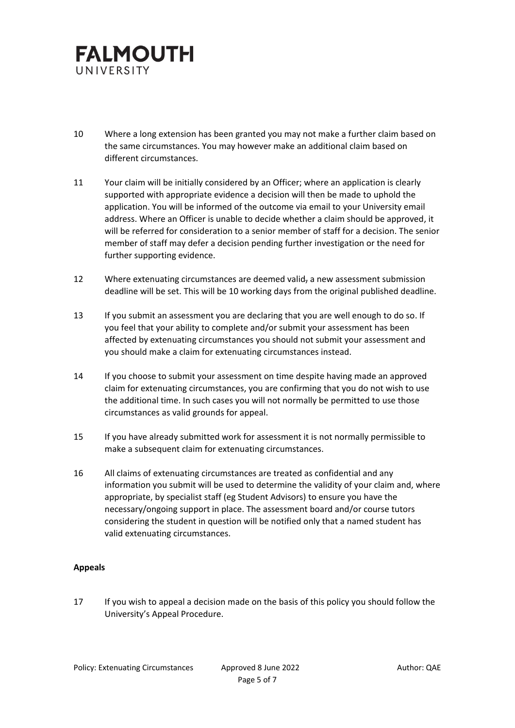

- 10 Where a long extension has been granted you may not make a further claim based on the same circumstances. You may however make an additional claim based on different circumstances.
- 11 Your claim will be initially considered by an Officer; where an application is clearly supported with appropriate evidence a decision will then be made to uphold the application. You will be informed of the outcome via email to your University email address. Where an Officer is unable to decide whether a claim should be approved, it will be referred for consideration to a senior member of staff for a decision. The senior member of staff may defer a decision pending further investigation or the need for further supporting evidence.
- 12 Where extenuating circumstances are deemed valid<sub> $\tau$ </sub> a new assessment submission deadline will be set. This will be 10 working days from the original published deadline.
- 13 If you submit an assessment you are declaring that you are well enough to do so. If you feel that your ability to complete and/or submit your assessment has been affected by extenuating circumstances you should not submit your assessment and you should make a claim for extenuating circumstances instead.
- 14 If you choose to submit your assessment on time despite having made an approved claim for extenuating circumstances, you are confirming that you do not wish to use the additional time. In such cases you will not normally be permitted to use those circumstances as valid grounds for appeal.
- 15 If you have already submitted work for assessment it is not normally permissible to make a subsequent claim for extenuating circumstances.
- 16 All claims of extenuating circumstances are treated as confidential and any information you submit will be used to determine the validity of your claim and, where appropriate, by specialist staff (eg Student Advisors) to ensure you have the necessary/ongoing support in place. The assessment board and/or course tutors considering the student in question will be notified only that a named student has valid extenuating circumstances.

## **Appeals**

17 If you wish to appeal a decision made on the basis of this policy you should follow the University's Appeal Procedure.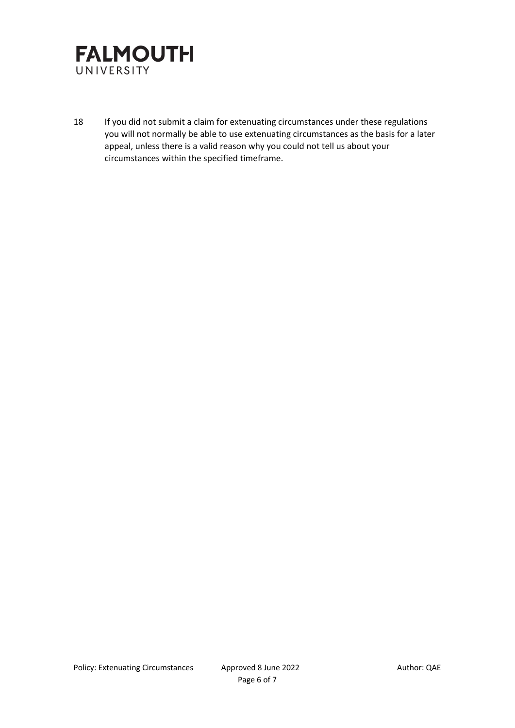

18 If you did not submit a claim for extenuating circumstances under these regulations you will not normally be able to use extenuating circumstances as the basis for a later appeal, unless there is a valid reason why you could not tell us about your circumstances within the specified timeframe.